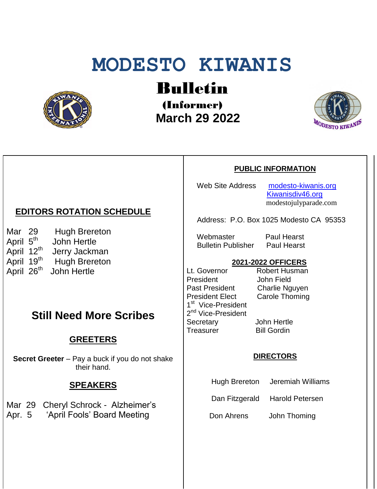# **MODESTO KIWANIS**



Bulletin

(Informer)  **March 29 2022**



#### **PUBLIC INFORMATION**

Web Site Address [modesto-kiwanis.org](http://modesto-kiwanis.org/) [Kiwanisdiv46.org](http://www.kiwanisdiv46.org/) modestojulyparade.com

Address: P.O. Box 1025 Modesto CA 95353

Webmaster Paul Hearst Bulletin Publisher Paul Hearst

#### **2021-2022 OFFICERS**

Lt. Governor Robert Husman President John Field<br>Past President Charlie Ng President Elect Carole Thoming 1<sup>st</sup> Vice-President 2<sup>nd</sup> Vice-President Secretary John Hertle Treasurer Bill Gordin

Charlie Nguyen

#### **DIRECTORS**

Hugh Brereton Jeremiah Williams

Dan Fitzgerald Harold Petersen

Don Ahrens John Thoming

## **EDITORS ROTATION SCHEDULE**

Mar 29 Hugh Brereton April 5<sup>th</sup> John Hertle April 12<sup>th</sup> Jerry Jackman April 19<sup>th</sup> Hugh Brereton April 26<sup>th</sup> John Hertle

## **Still Need More Scribes**

## **GREETERS**

**Secret Greeter** – Pay a buck if you do not shake their hand.

### **SPEAKERS**

Mar 29 Cheryl Schrock - Alzheimer's

Apr. 5 'April Fools' Board Meeting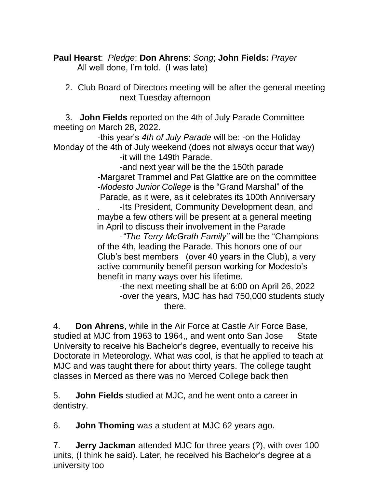**Paul Hearst**: *Pledge*; **Don Ahrens**: *Song*; **John Fields:** *Prayer* All well done, I'm told. (I was late)

 2. Club Board of Directors meeting will be after the general meeting next Tuesday afternoon

 3. **John Fields** reported on the 4th of July Parade Committee meeting on March 28, 2022.

-this year's *4th of July Parade* will be: -on the Holiday Monday of the 4th of July weekend (does not always occur that way)

-it will the 149th Parade.

-and next year will be the the 150th parade -Margaret Trammel and Pat Glattke are on the committee -*Modesto Junior College* is the "Grand Marshal" of the Parade, as it were, as it celebrates its 100th Anniversary

. -Its President, Community Development dean, and maybe a few others will be present at a general meeting in April to discuss their involvement in the Parade

-*"The Terry McGrath Family"* will be the "Champions of the 4th, leading the Parade. This honors one of our Club's best members (over 40 years in the Club), a very active community benefit person working for Modesto's benefit in many ways over his lifetime.

-the next meeting shall be at 6:00 on April 26, 2022 -over the years, MJC has had 750,000 students study there.

4. **Don Ahrens**, while in the Air Force at Castle Air Force Base, studied at MJC from 1963 to 1964,, and went onto San Jose State University to receive his Bachelor's degree, eventually to receive his Doctorate in Meteorology. What was cool, is that he applied to teach at MJC and was taught there for about thirty years. The college taught classes in Merced as there was no Merced College back then

5. **John Fields** studied at MJC, and he went onto a career in dentistry.

6. **John Thoming** was a student at MJC 62 years ago.

7. **Jerry Jackman** attended MJC for three years (?), with over 100 units, (I think he said). Later, he received his Bachelor's degree at a university too